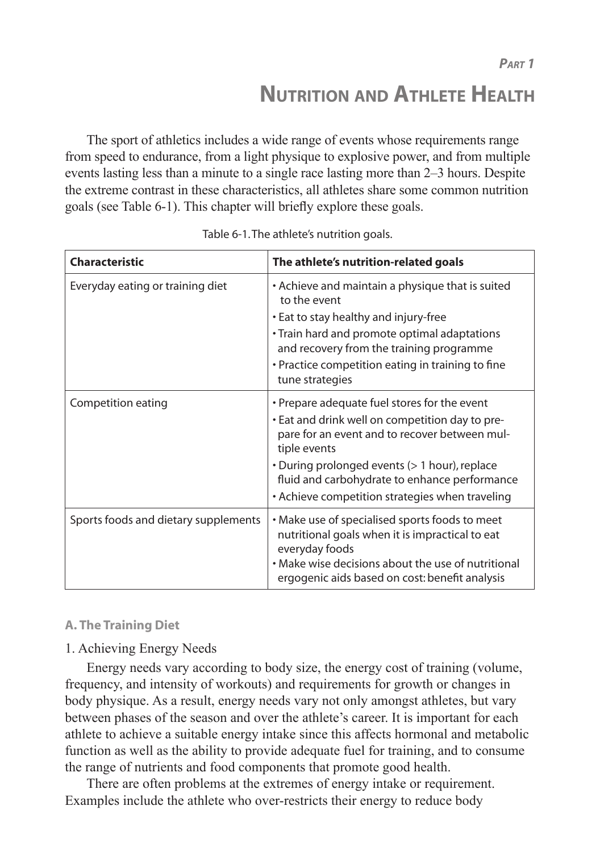**NUTRITION AND ATHLETE HEALTH**

The sport of athletics includes a wide range of events whose requirements range from speed to endurance, from a light physique to explosive power, and from multiple events lasting less than a minute to a single race lasting more than 2–3 hours. Despite the extreme contrast in these characteristics, all athletes share some common nutrition goals (see Table 6-1). This chapter will briefly explore these goals.

| <b>Characteristic</b>                | The athlete's nutrition-related goals                                                                                                                                                                                                                                                                                 |
|--------------------------------------|-----------------------------------------------------------------------------------------------------------------------------------------------------------------------------------------------------------------------------------------------------------------------------------------------------------------------|
| Everyday eating or training diet     | • Achieve and maintain a physique that is suited<br>to the event<br>• Eat to stay healthy and injury-free<br>• Train hard and promote optimal adaptations<br>and recovery from the training programme<br>• Practice competition eating in training to fine<br>tune strategies                                         |
| Competition eating                   | • Prepare adequate fuel stores for the event<br>. Eat and drink well on competition day to pre-<br>pare for an event and to recover between mul-<br>tiple events<br>• During prolonged events (> 1 hour), replace<br>fluid and carbohydrate to enhance performance<br>• Achieve competition strategies when traveling |
| Sports foods and dietary supplements | • Make use of specialised sports foods to meet<br>nutritional goals when it is impractical to eat<br>everyday foods<br>• Make wise decisions about the use of nutritional<br>ergogenic aids based on cost: benefit analysis                                                                                           |

| Table 6-1. The athlete's nutrition goals. |  |
|-------------------------------------------|--|
|-------------------------------------------|--|

## **A. The Training Diet**

## 1. Achieving Energy Needs

Energy needs vary according to body size, the energy cost of training (volume, frequency, and intensity of workouts) and requirements for growth or changes in body physique. As a result, energy needs vary not only amongst athletes, but vary between phases of the season and over the athlete's career. It is important for each athlete to achieve a suitable energy intake since this affects hormonal and metabolic function as well as the ability to provide adequate fuel for training, and to consume the range of nutrients and food components that promote good health.

There are often problems at the extremes of energy intake or requirement. Examples include the athlete who over-restricts their energy to reduce body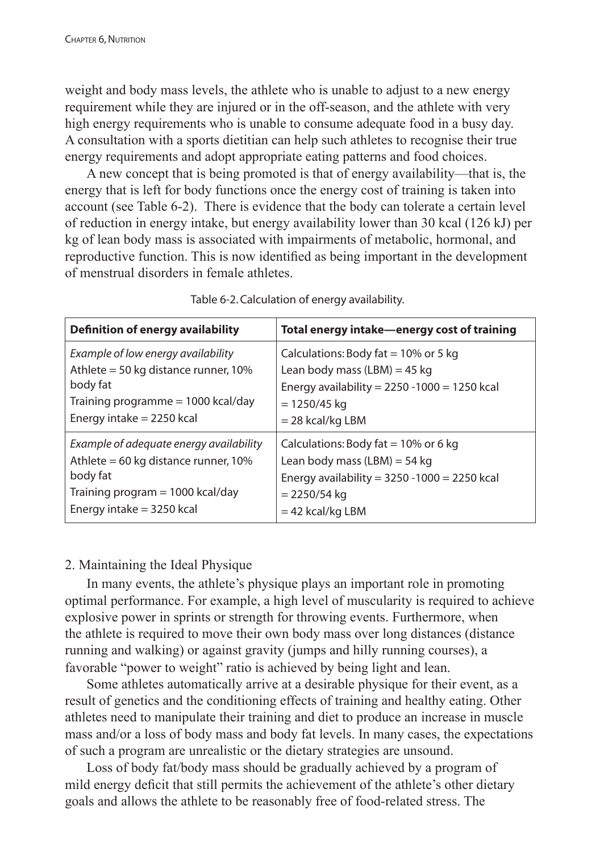weight and body mass levels, the athlete who is unable to adjust to a new energy requirement while they are injured or in the off-season, and the athlete with very high energy requirements who is unable to consume adequate food in a busy day. A consultation with a sports dietitian can help such athletes to recognise their true energy requirements and adopt appropriate eating patterns and food choices.

A new concept that is being promoted is that of energy availability—that is, the energy that is left for body functions once the energy cost of training is taken into account (see Table 6-2). There is evidence that the body can tolerate a certain level of reduction in energy intake, but energy availability lower than 30 kcal (126 kJ) per kg of lean body mass is associated with impairments of metabolic, hormonal, and reproductive function. This is now identified as being important in the development of menstrual disorders in female athletes.

| <b>Definition of energy availability</b> | Total energy intake-energy cost of training     |
|------------------------------------------|-------------------------------------------------|
| Example of low energy availability       | Calculations: Body fat $= 10\%$ or 5 kg         |
| Athlete = 50 kg distance runner, $10\%$  | Lean body mass (LBM) = 45 kg                    |
| body fat                                 | Energy availability = $2250 - 1000 = 1250$ kcal |
| Training programme = 1000 kcal/day       | $= 1250/45$ kg                                  |
| Energy intake $= 2250$ kcal              | $= 28$ kcal/kg LBM                              |
| Example of adequate energy availability  | Calculations: Body fat = $10\%$ or 6 kg         |
| Athlete = 60 kg distance runner, $10\%$  | Lean body mass (LBM) = 54 kg                    |
| body fat                                 | Energy availability = $3250 - 1000 = 2250$ kcal |
| Training program $=$ 1000 kcal/day       | $= 2250/54$ kg                                  |
| Energy intake $=$ 3250 kcal              | $= 42$ kcal/kg LBM                              |

Table 6-2. Calculation of energy availability.

# 2. Maintaining the Ideal Physique

In many events, the athlete's physique plays an important role in promoting optimal performance. For example, a high level of muscularity is required to achieve explosive power in sprints or strength for throwing events. Furthermore, when the athlete is required to move their own body mass over long distances (distance running and walking) or against gravity (jumps and hilly running courses), a favorable "power to weight" ratio is achieved by being light and lean.

Some athletes automatically arrive at a desirable physique for their event, as a result of genetics and the conditioning effects of training and healthy eating. Other athletes need to manipulate their training and diet to produce an increase in muscle mass and/or a loss of body mass and body fat levels. In many cases, the expectations of such a program are unrealistic or the dietary strategies are unsound.

Loss of body fat/body mass should be gradually achieved by a program of mild energy deficit that still permits the achievement of the athlete's other dietary goals and allows the athlete to be reasonably free of food-related stress. The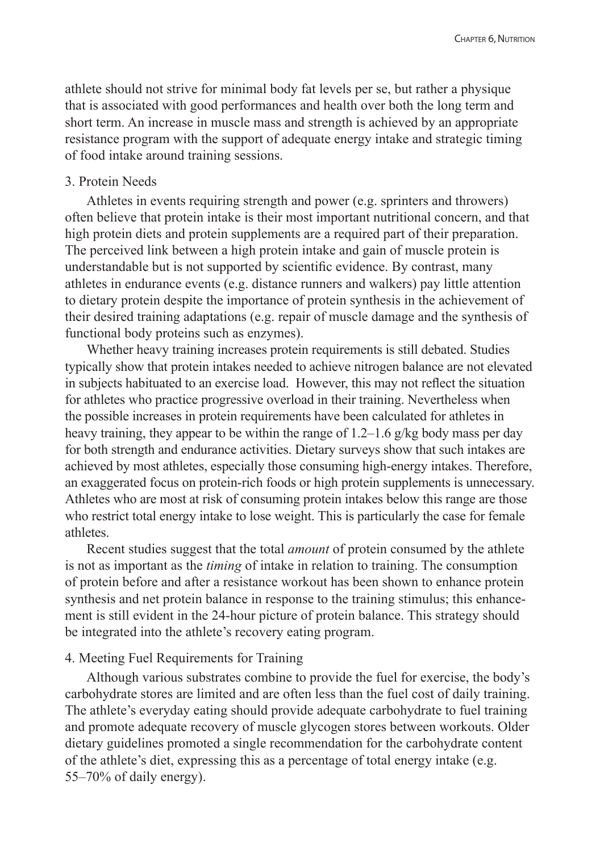athlete should not strive for minimal body fat levels per se, but rather a physique that is associated with good performances and health over both the long term and short term. An increase in muscle mass and strength is achieved by an appropriate resistance program with the support of adequate energy intake and strategic timing of food intake around training sessions.

## 3. Protein Needs

Athletes in events requiring strength and power (e.g. sprinters and throwers) often believe that protein intake is their most important nutritional concern, and that high protein diets and protein supplements are a required part of their preparation. The perceived link between a high protein intake and gain of muscle protein is understandable but is not supported by scientific evidence. By contrast, many athletes in endurance events (e.g. distance runners and walkers) pay little attention to dietary protein despite the importance of protein synthesis in the achievement of their desired training adaptations (e.g. repair of muscle damage and the synthesis of functional body proteins such as enzymes).

Whether heavy training increases protein requirements is still debated. Studies typically show that protein intakes needed to achieve nitrogen balance are not elevated in subjects habituated to an exercise load. However, this may not reflect the situation for athletes who practice progressive overload in their training. Nevertheless when the possible increases in protein requirements have been calculated for athletes in heavy training, they appear to be within the range of 1.2–1.6 g/kg body mass per day for both strength and endurance activities. Dietary surveys show that such intakes are achieved by most athletes, especially those consuming high-energy intakes. Therefore, an exaggerated focus on protein-rich foods or high protein supplements is unnecessary. Athletes who are most at risk of consuming protein intakes below this range are those who restrict total energy intake to lose weight. This is particularly the case for female athletes.

Recent studies suggest that the total *amount* of protein consumed by the athlete is not as important as the *timing* of intake in relation to training. The consumption of protein before and after a resistance workout has been shown to enhance protein synthesis and net protein balance in response to the training stimulus; this enhancement is still evident in the 24-hour picture of protein balance. This strategy should be integrated into the athlete's recovery eating program.

## 4. Meeting Fuel Requirements for Training

Although various substrates combine to provide the fuel for exercise, the body's carbohydrate stores are limited and are often less than the fuel cost of daily training. The athlete's everyday eating should provide adequate carbohydrate to fuel training and promote adequate recovery of muscle glycogen stores between workouts. Older dietary guidelines promoted a single recommendation for the carbohydrate content of the athlete's diet, expressing this as a percentage of total energy intake (e.g. 55–70% of daily energy).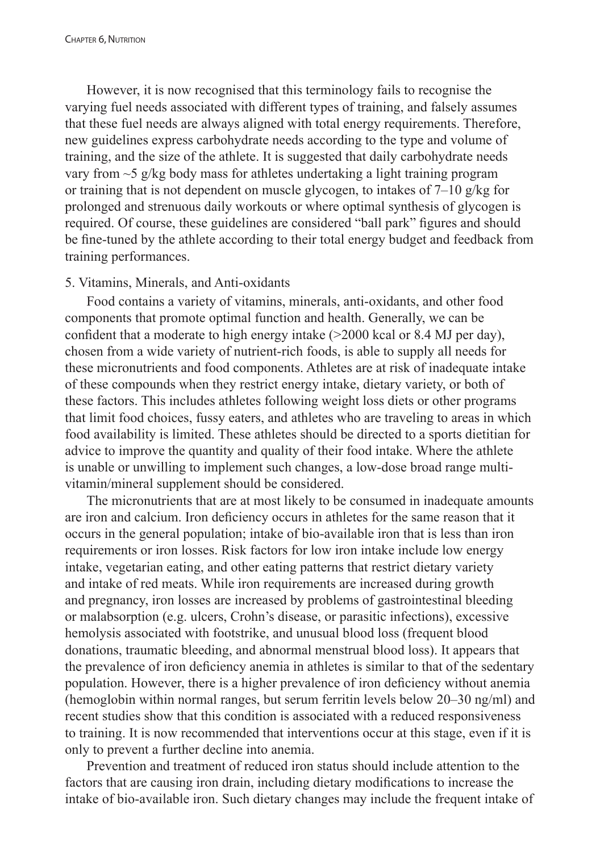However, it is now recognised that this terminology fails to recognise the varying fuel needs associated with different types of training, and falsely assumes that these fuel needs are always aligned with total energy requirements. Therefore, new guidelines express carbohydrate needs according to the type and volume of training, and the size of the athlete. It is suggested that daily carbohydrate needs vary from ~5 g/kg body mass for athletes undertaking a light training program or training that is not dependent on muscle glycogen, to intakes of 7–10 g/kg for prolonged and strenuous daily workouts or where optimal synthesis of glycogen is required. Of course, these guidelines are considered "ball park" figures and should be fine-tuned by the athlete according to their total energy budget and feedback from training performances.

### 5. Vitamins, Minerals, and Anti-oxidants

Food contains a variety of vitamins, minerals, anti-oxidants, and other food components that promote optimal function and health. Generally, we can be confident that a moderate to high energy intake (>2000 kcal or 8.4 MJ per day), chosen from a wide variety of nutrient-rich foods, is able to supply all needs for these micronutrients and food components. Athletes are at risk of inadequate intake of these compounds when they restrict energy intake, dietary variety, or both of these factors. This includes athletes following weight loss diets or other programs that limit food choices, fussy eaters, and athletes who are traveling to areas in which food availability is limited. These athletes should be directed to a sports dietitian for advice to improve the quantity and quality of their food intake. Where the athlete is unable or unwilling to implement such changes, a low-dose broad range multivitamin/mineral supplement should be considered.

The micronutrients that are at most likely to be consumed in inadequate amounts are iron and calcium. Iron deficiency occurs in athletes for the same reason that it occurs in the general population; intake of bio-available iron that is less than iron requirements or iron losses. Risk factors for low iron intake include low energy intake, vegetarian eating, and other eating patterns that restrict dietary variety and intake of red meats. While iron requirements are increased during growth and pregnancy, iron losses are increased by problems of gastrointestinal bleeding or malabsorption (e.g. ulcers, Crohn's disease, or parasitic infections), excessive hemolysis associated with footstrike, and unusual blood loss (frequent blood donations, traumatic bleeding, and abnormal menstrual blood loss). It appears that the prevalence of iron deficiency anemia in athletes is similar to that of the sedentary population. However, there is a higher prevalence of iron deficiency without anemia (hemoglobin within normal ranges, but serum ferritin levels below 20–30 ng/ml) and recent studies show that this condition is associated with a reduced responsiveness to training. It is now recommended that interventions occur at this stage, even if it is only to prevent a further decline into anemia.

Prevention and treatment of reduced iron status should include attention to the factors that are causing iron drain, including dietary modifications to increase the intake of bio-available iron. Such dietary changes may include the frequent intake of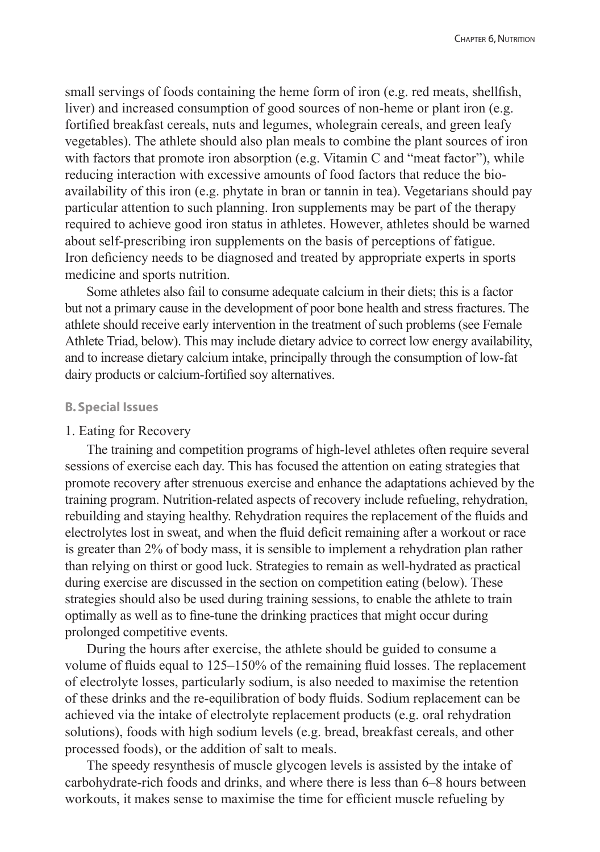small servings of foods containing the heme form of iron (e.g. red meats, shellfish, liver) and increased consumption of good sources of non-heme or plant iron (e.g. fortified breakfast cereals, nuts and legumes, wholegrain cereals, and green leafy vegetables). The athlete should also plan meals to combine the plant sources of iron with factors that promote iron absorption (e.g. Vitamin C and "meat factor"), while reducing interaction with excessive amounts of food factors that reduce the bioavailability of this iron (e.g. phytate in bran or tannin in tea). Vegetarians should pay particular attention to such planning. Iron supplements may be part of the therapy required to achieve good iron status in athletes. However, athletes should be warned about self-prescribing iron supplements on the basis of perceptions of fatigue. Iron deficiency needs to be diagnosed and treated by appropriate experts in sports medicine and sports nutrition.

Some athletes also fail to consume adequate calcium in their diets; this is a factor but not a primary cause in the development of poor bone health and stress fractures. The athlete should receive early intervention in the treatment of such problems (see Female Athlete Triad, below). This may include dietary advice to correct low energy availability, and to increase dietary calcium intake, principally through the consumption of low-fat dairy products or calcium-fortified soy alternatives.

#### **B. Special Issues**

#### 1. Eating for Recovery

The training and competition programs of high-level athletes often require several sessions of exercise each day. This has focused the attention on eating strategies that promote recovery after strenuous exercise and enhance the adaptations achieved by the training program. Nutrition-related aspects of recovery include refueling, rehydration, rebuilding and staying healthy. Rehydration requires the replacement of the fluids and electrolytes lost in sweat, and when the fluid deficit remaining after a workout or race is greater than 2% of body mass, it is sensible to implement a rehydration plan rather than relying on thirst or good luck. Strategies to remain as well-hydrated as practical during exercise are discussed in the section on competition eating (below). These strategies should also be used during training sessions, to enable the athlete to train optimally as well as to fine-tune the drinking practices that might occur during prolonged competitive events.

During the hours after exercise, the athlete should be guided to consume a volume of fluids equal to 125–150% of the remaining fluid losses. The replacement of electrolyte losses, particularly sodium, is also needed to maximise the retention of these drinks and the re-equilibration of body fluids. Sodium replacement can be achieved via the intake of electrolyte replacement products (e.g. oral rehydration solutions), foods with high sodium levels (e.g. bread, breakfast cereals, and other processed foods), or the addition of salt to meals.

The speedy resynthesis of muscle glycogen levels is assisted by the intake of carbohydrate-rich foods and drinks, and where there is less than 6–8 hours between workouts, it makes sense to maximise the time for efficient muscle refueling by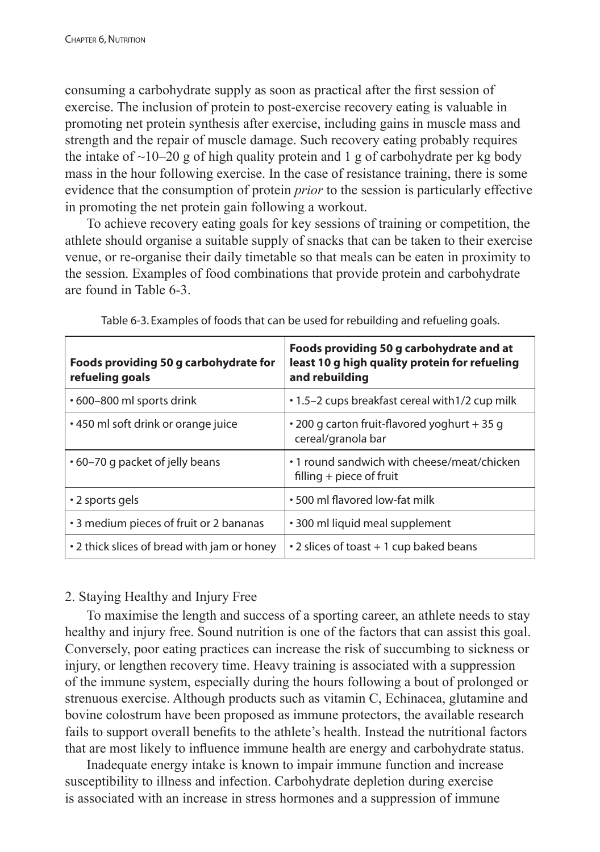consuming a carbohydrate supply as soon as practical after the first session of exercise. The inclusion of protein to post-exercise recovery eating is valuable in promoting net protein synthesis after exercise, including gains in muscle mass and strength and the repair of muscle damage. Such recovery eating probably requires the intake of  $\sim$ 10–20 g of high quality protein and 1 g of carbohydrate per kg body mass in the hour following exercise. In the case of resistance training, there is some evidence that the consumption of protein *prior* to the session is particularly effective in promoting the net protein gain following a workout.

To achieve recovery eating goals for key sessions of training or competition, the athlete should organise a suitable supply of snacks that can be taken to their exercise venue, or re-organise their daily timetable so that meals can be eaten in proximity to the session. Examples of food combinations that provide protein and carbohydrate are found in Table 6-3.

| Foods providing 50 g carbohydrate for<br>refueling goals | Foods providing 50 g carbohydrate and at<br>least 10 g high quality protein for refueling<br>and rebuilding |
|----------------------------------------------------------|-------------------------------------------------------------------------------------------------------------|
| • 600-800 ml sports drink                                | .1.5–2 cups breakfast cereal with 1/2 cup milk                                                              |
| • 450 ml soft drink or orange juice                      | • 200 g carton fruit-flavored yoghurt + 35 g<br>cereal/granola bar                                          |
| $\cdot$ 60–70 g packet of jelly beans                    | • 1 round sandwich with cheese/meat/chicken<br>filling $+$ piece of fruit                                   |
| • 2 sports gels                                          | • 500 ml flavored low-fat milk                                                                              |
| • 3 medium pieces of fruit or 2 bananas                  | • 300 ml liquid meal supplement                                                                             |
| • 2 thick slices of bread with jam or honey              | • 2 slices of toast + 1 cup baked beans                                                                     |

Table 6-3. Examples of foods that can be used for rebuilding and refueling goals.

# 2. Staying Healthy and Injury Free

To maximise the length and success of a sporting career, an athlete needs to stay healthy and injury free. Sound nutrition is one of the factors that can assist this goal. Conversely, poor eating practices can increase the risk of succumbing to sickness or injury, or lengthen recovery time. Heavy training is associated with a suppression of the immune system, especially during the hours following a bout of prolonged or strenuous exercise. Although products such as vitamin C, Echinacea, glutamine and bovine colostrum have been proposed as immune protectors, the available research fails to support overall benefits to the athlete's health. Instead the nutritional factors that are most likely to influence immune health are energy and carbohydrate status.

Inadequate energy intake is known to impair immune function and increase susceptibility to illness and infection. Carbohydrate depletion during exercise is associated with an increase in stress hormones and a suppression of immune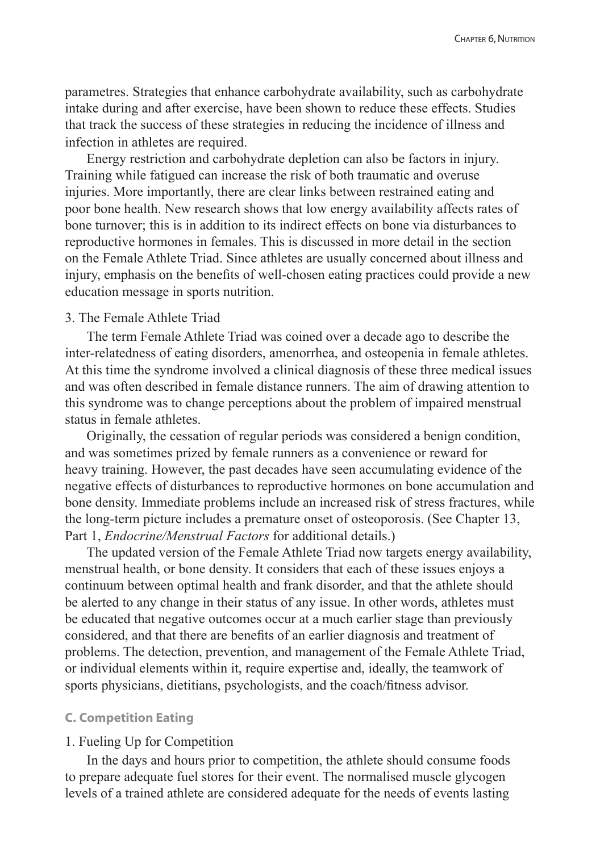parametres. Strategies that enhance carbohydrate availability, such as carbohydrate intake during and after exercise, have been shown to reduce these effects. Studies that track the success of these strategies in reducing the incidence of illness and infection in athletes are required.

Energy restriction and carbohydrate depletion can also be factors in injury. Training while fatigued can increase the risk of both traumatic and overuse injuries. More importantly, there are clear links between restrained eating and poor bone health. New research shows that low energy availability affects rates of bone turnover; this is in addition to its indirect effects on bone via disturbances to reproductive hormones in females. This is discussed in more detail in the section on the Female Athlete Triad. Since athletes are usually concerned about illness and injury, emphasis on the benefits of well-chosen eating practices could provide a new education message in sports nutrition.

# 3. The Female Athlete Triad

The term Female Athlete Triad was coined over a decade ago to describe the inter-relatedness of eating disorders, amenorrhea, and osteopenia in female athletes. At this time the syndrome involved a clinical diagnosis of these three medical issues and was often described in female distance runners. The aim of drawing attention to this syndrome was to change perceptions about the problem of impaired menstrual status in female athletes.

Originally, the cessation of regular periods was considered a benign condition, and was sometimes prized by female runners as a convenience or reward for heavy training. However, the past decades have seen accumulating evidence of the negative effects of disturbances to reproductive hormones on bone accumulation and bone density. Immediate problems include an increased risk of stress fractures, while the long-term picture includes a premature onset of osteoporosis. (See Chapter 13, Part 1, *Endocrine/Menstrual Factors* for additional details.)

The updated version of the Female Athlete Triad now targets energy availability, menstrual health, or bone density. It considers that each of these issues enjoys a continuum between optimal health and frank disorder, and that the athlete should be alerted to any change in their status of any issue. In other words, athletes must be educated that negative outcomes occur at a much earlier stage than previously considered, and that there are benefits of an earlier diagnosis and treatment of problems. The detection, prevention, and management of the Female Athlete Triad, or individual elements within it, require expertise and, ideally, the teamwork of sports physicians, dietitians, psychologists, and the coach/fitness advisor.

#### **C. Competition Eating**

#### 1. Fueling Up for Competition

In the days and hours prior to competition, the athlete should consume foods to prepare adequate fuel stores for their event. The normalised muscle glycogen levels of a trained athlete are considered adequate for the needs of events lasting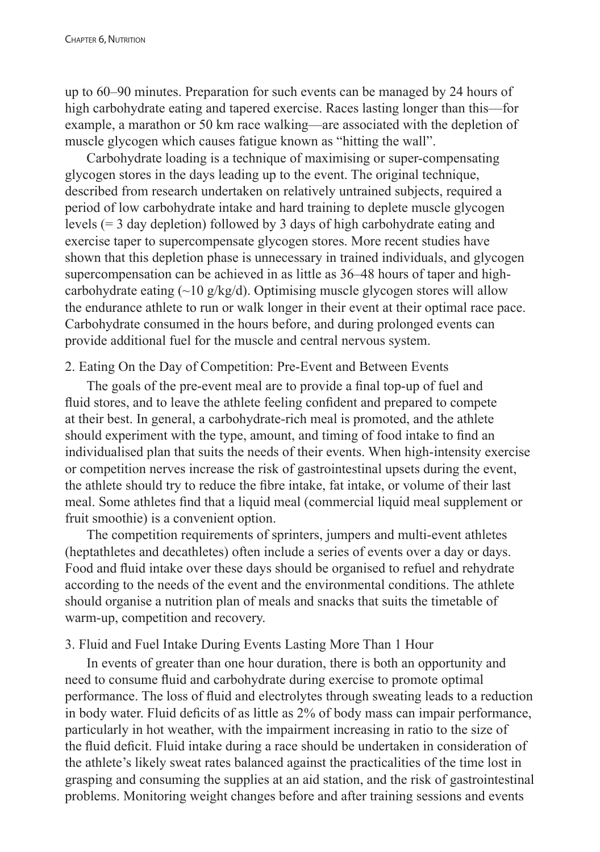up to 60–90 minutes. Preparation for such events can be managed by 24 hours of high carbohydrate eating and tapered exercise. Races lasting longer than this—for example, a marathon or 50 km race walking—are associated with the depletion of muscle glycogen which causes fatigue known as "hitting the wall".

Carbohydrate loading is a technique of maximising or super-compensating glycogen stores in the days leading up to the event. The original technique, described from research undertaken on relatively untrained subjects, required a period of low carbohydrate intake and hard training to deplete muscle glycogen levels (= 3 day depletion) followed by 3 days of high carbohydrate eating and exercise taper to supercompensate glycogen stores. More recent studies have shown that this depletion phase is unnecessary in trained individuals, and glycogen supercompensation can be achieved in as little as 36–48 hours of taper and highcarbohydrate eating  $\left(\sim\right]$  g/kg/d). Optimising muscle glycogen stores will allow the endurance athlete to run or walk longer in their event at their optimal race pace. Carbohydrate consumed in the hours before, and during prolonged events can provide additional fuel for the muscle and central nervous system.

# 2. Eating On the Day of Competition: Pre-Event and Between Events

The goals of the pre-event meal are to provide a final top-up of fuel and fluid stores, and to leave the athlete feeling confident and prepared to compete at their best. In general, a carbohydrate-rich meal is promoted, and the athlete should experiment with the type, amount, and timing of food intake to find an individualised plan that suits the needs of their events. When high-intensity exercise or competition nerves increase the risk of gastrointestinal upsets during the event, the athlete should try to reduce the fibre intake, fat intake, or volume of their last meal. Some athletes find that a liquid meal (commercial liquid meal supplement or fruit smoothie) is a convenient option.

The competition requirements of sprinters, jumpers and multi-event athletes (heptathletes and decathletes) often include a series of events over a day or days. Food and fluid intake over these days should be organised to refuel and rehydrate according to the needs of the event and the environmental conditions. The athlete should organise a nutrition plan of meals and snacks that suits the timetable of warm-up, competition and recovery.

# 3. Fluid and Fuel Intake During Events Lasting More Than 1 Hour

In events of greater than one hour duration, there is both an opportunity and need to consume fluid and carbohydrate during exercise to promote optimal performance. The loss of fluid and electrolytes through sweating leads to a reduction in body water. Fluid deficits of as little as 2% of body mass can impair performance, particularly in hot weather, with the impairment increasing in ratio to the size of the fluid deficit. Fluid intake during a race should be undertaken in consideration of the athlete's likely sweat rates balanced against the practicalities of the time lost in grasping and consuming the supplies at an aid station, and the risk of gastrointestinal problems. Monitoring weight changes before and after training sessions and events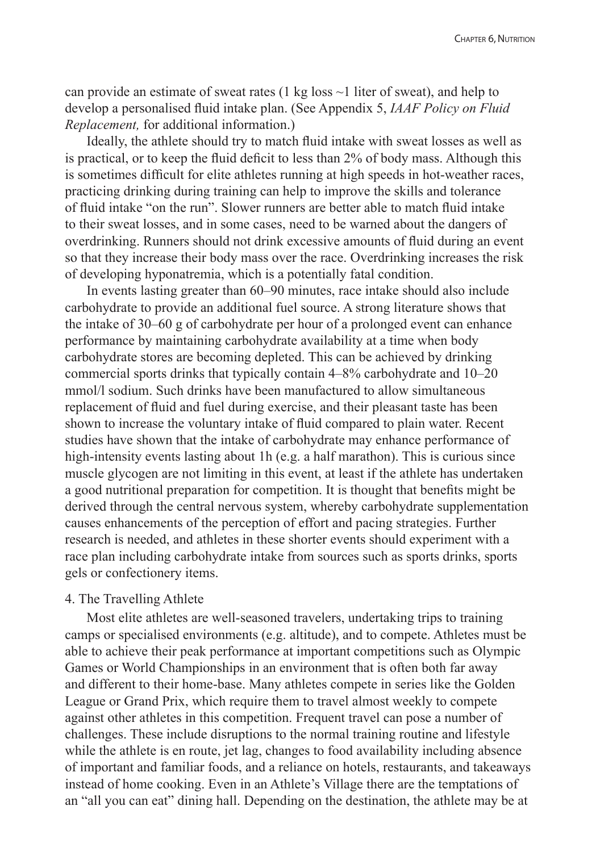can provide an estimate of sweat rates  $(1 \text{ kg loss} \sim 1)$  liter of sweat), and help to develop a personalised fluid intake plan. (See Appendix 5, *IAAF Policy on Fluid Replacement,* for additional information.)

Ideally, the athlete should try to match fluid intake with sweat losses as well as is practical, or to keep the fluid deficit to less than 2% of body mass. Although this is sometimes difficult for elite athletes running at high speeds in hot-weather races, practicing drinking during training can help to improve the skills and tolerance of fluid intake "on the run". Slower runners are better able to match fluid intake to their sweat losses, and in some cases, need to be warned about the dangers of overdrinking. Runners should not drink excessive amounts of fluid during an event so that they increase their body mass over the race. Overdrinking increases the risk of developing hyponatremia, which is a potentially fatal condition.

In events lasting greater than 60–90 minutes, race intake should also include carbohydrate to provide an additional fuel source. A strong literature shows that the intake of 30–60 g of carbohydrate per hour of a prolonged event can enhance performance by maintaining carbohydrate availability at a time when body carbohydrate stores are becoming depleted. This can be achieved by drinking commercial sports drinks that typically contain 4–8% carbohydrate and 10–20 mmol/l sodium. Such drinks have been manufactured to allow simultaneous replacement of fluid and fuel during exercise, and their pleasant taste has been shown to increase the voluntary intake of fluid compared to plain water. Recent studies have shown that the intake of carbohydrate may enhance performance of high-intensity events lasting about 1h (e.g. a half marathon). This is curious since muscle glycogen are not limiting in this event, at least if the athlete has undertaken a good nutritional preparation for competition. It is thought that benefits might be derived through the central nervous system, whereby carbohydrate supplementation causes enhancements of the perception of effort and pacing strategies. Further research is needed, and athletes in these shorter events should experiment with a race plan including carbohydrate intake from sources such as sports drinks, sports gels or confectionery items.

## 4. The Travelling Athlete

Most elite athletes are well-seasoned travelers, undertaking trips to training camps or specialised environments (e.g. altitude), and to compete. Athletes must be able to achieve their peak performance at important competitions such as Olympic Games or World Championships in an environment that is often both far away and different to their home-base. Many athletes compete in series like the Golden League or Grand Prix, which require them to travel almost weekly to compete against other athletes in this competition. Frequent travel can pose a number of challenges. These include disruptions to the normal training routine and lifestyle while the athlete is en route, jet lag, changes to food availability including absence of important and familiar foods, and a reliance on hotels, restaurants, and takeaways instead of home cooking. Even in an Athlete's Village there are the temptations of an "all you can eat" dining hall. Depending on the destination, the athlete may be at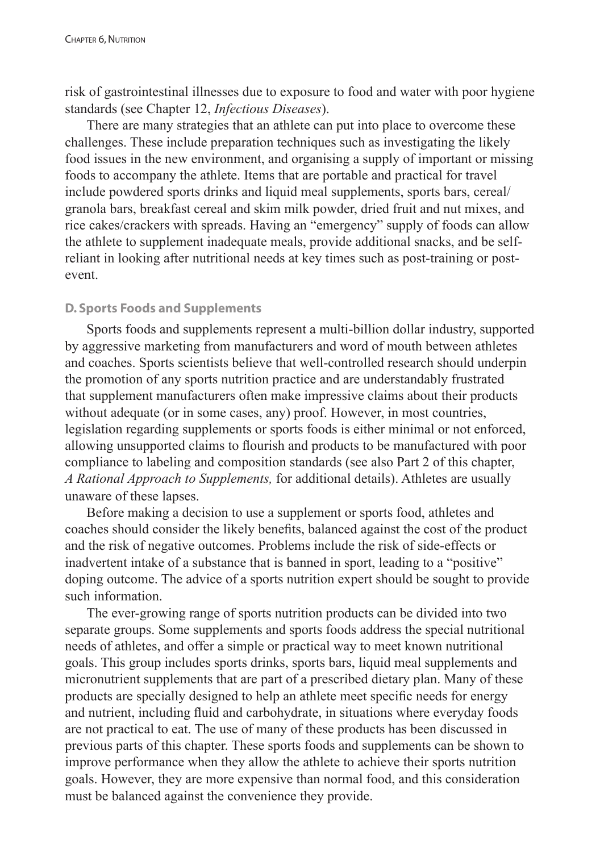risk of gastrointestinal illnesses due to exposure to food and water with poor hygiene standards (see Chapter 12, *Infectious Diseases*).

There are many strategies that an athlete can put into place to overcome these challenges. These include preparation techniques such as investigating the likely food issues in the new environment, and organising a supply of important or missing foods to accompany the athlete. Items that are portable and practical for travel include powdered sports drinks and liquid meal supplements, sports bars, cereal/ granola bars, breakfast cereal and skim milk powder, dried fruit and nut mixes, and rice cakes/crackers with spreads. Having an "emergency" supply of foods can allow the athlete to supplement inadequate meals, provide additional snacks, and be selfreliant in looking after nutritional needs at key times such as post-training or postevent.

## **D. Sports Foods and Supplements**

Sports foods and supplements represent a multi-billion dollar industry, supported by aggressive marketing from manufacturers and word of mouth between athletes and coaches. Sports scientists believe that well-controlled research should underpin the promotion of any sports nutrition practice and are understandably frustrated that supplement manufacturers often make impressive claims about their products without adequate (or in some cases, any) proof. However, in most countries, legislation regarding supplements or sports foods is either minimal or not enforced, allowing unsupported claims to flourish and products to be manufactured with poor compliance to labeling and composition standards (see also Part 2 of this chapter, *A Rational Approach to Supplements,* for additional details). Athletes are usually unaware of these lapses.

Before making a decision to use a supplement or sports food, athletes and coaches should consider the likely benefits, balanced against the cost of the product and the risk of negative outcomes. Problems include the risk of side-effects or inadvertent intake of a substance that is banned in sport, leading to a "positive" doping outcome. The advice of a sports nutrition expert should be sought to provide such information.

The ever-growing range of sports nutrition products can be divided into two separate groups. Some supplements and sports foods address the special nutritional needs of athletes, and offer a simple or practical way to meet known nutritional goals. This group includes sports drinks, sports bars, liquid meal supplements and micronutrient supplements that are part of a prescribed dietary plan. Many of these products are specially designed to help an athlete meet specific needs for energy and nutrient, including fluid and carbohydrate, in situations where everyday foods are not practical to eat. The use of many of these products has been discussed in previous parts of this chapter. These sports foods and supplements can be shown to improve performance when they allow the athlete to achieve their sports nutrition goals. However, they are more expensive than normal food, and this consideration must be balanced against the convenience they provide.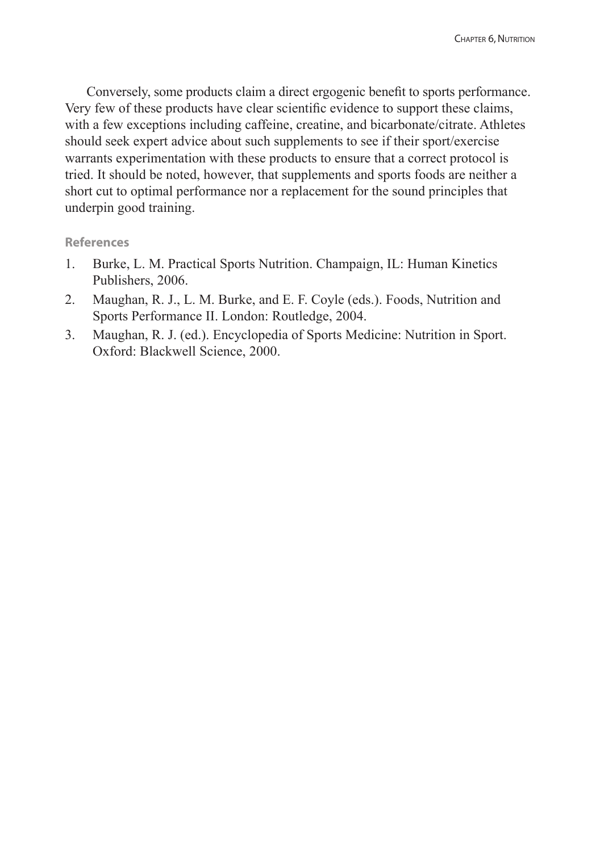Conversely, some products claim a direct ergogenic benefit to sports performance. Very few of these products have clear scientific evidence to support these claims, with a few exceptions including caffeine, creatine, and bicarbonate/citrate. Athletes should seek expert advice about such supplements to see if their sport/exercise warrants experimentation with these products to ensure that a correct protocol is tried. It should be noted, however, that supplements and sports foods are neither a short cut to optimal performance nor a replacement for the sound principles that underpin good training.

#### **References**

- 1. Burke, L. M. Practical Sports Nutrition. Champaign, IL: Human Kinetics Publishers, 2006.
- 2. Maughan, R. J., L. M. Burke, and E. F. Coyle (eds.). Foods, Nutrition and Sports Performance II. London: Routledge, 2004.
- 3. Maughan, R. J. (ed.). Encyclopedia of Sports Medicine: Nutrition in Sport. Oxford: Blackwell Science, 2000.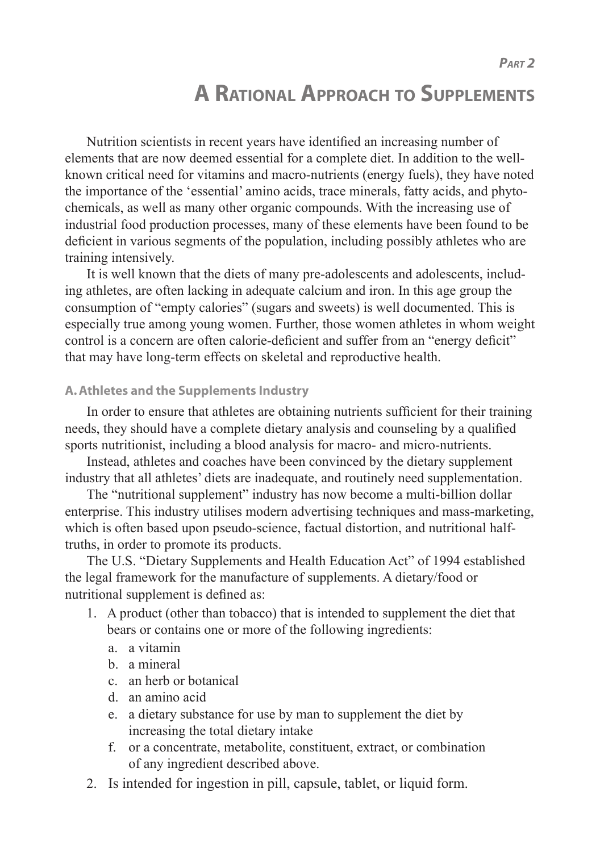# **A RATIONAL APPROACH TO SUPPLEMENTS**

Nutrition scientists in recent years have identified an increasing number of elements that are now deemed essential for a complete diet. In addition to the wellknown critical need for vitamins and macro-nutrients (energy fuels), they have noted the importance of the 'essential' amino acids, trace minerals, fatty acids, and phytochemicals, as well as many other organic compounds. With the increasing use of industrial food production processes, many of these elements have been found to be deficient in various segments of the population, including possibly athletes who are training intensively.

It is well known that the diets of many pre-adolescents and adolescents, including athletes, are often lacking in adequate calcium and iron. In this age group the consumption of "empty calories" (sugars and sweets) is well documented. This is especially true among young women. Further, those women athletes in whom weight control is a concern are often calorie-deficient and suffer from an "energy deficit" that may have long-term effects on skeletal and reproductive health.

## **A. Athletes and the Supplements Industry**

In order to ensure that athletes are obtaining nutrients sufficient for their training needs, they should have a complete dietary analysis and counseling by a qualified sports nutritionist, including a blood analysis for macro- and micro-nutrients.

Instead, athletes and coaches have been convinced by the dietary supplement industry that all athletes' diets are inadequate, and routinely need supplementation.

The "nutritional supplement" industry has now become a multi-billion dollar enterprise. This industry utilises modern advertising techniques and mass-marketing, which is often based upon pseudo-science, factual distortion, and nutritional halftruths, in order to promote its products.

The U.S. "Dietary Supplements and Health Education Act" of 1994 established the legal framework for the manufacture of supplements. A dietary/food or nutritional supplement is defined as:

- 1. A product (other than tobacco) that is intended to supplement the diet that bears or contains one or more of the following ingredients:
	- a. a vitamin
	- b. a mineral
	- c. an herb or botanical
	- d. an amino acid
	- e. a dietary substance for use by man to supplement the diet by increasing the total dietary intake
	- f. or a concentrate, metabolite, constituent, extract, or combination of any ingredient described above.
- 2. Is intended for ingestion in pill, capsule, tablet, or liquid form.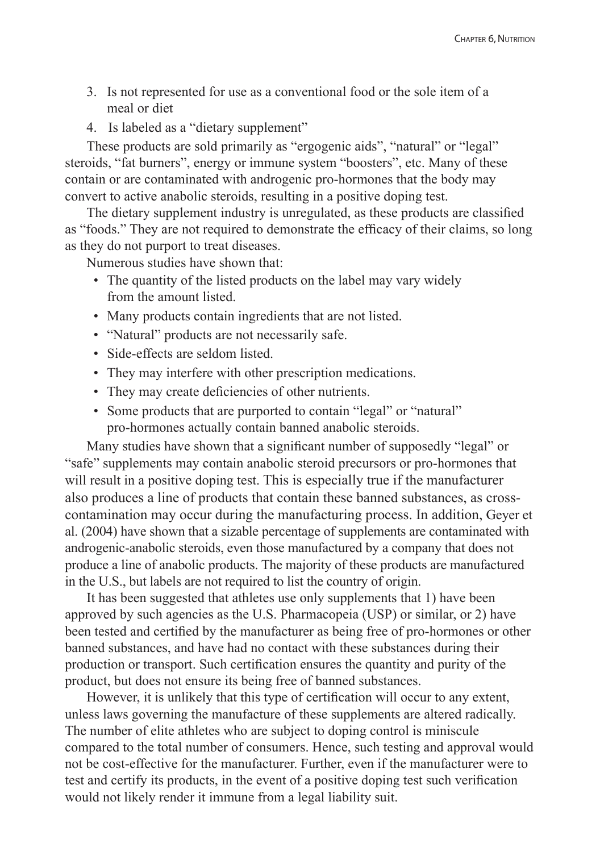- 3. Is not represented for use as a conventional food or the sole item of a meal or diet
- 4. Is labeled as a "dietary supplement"

These products are sold primarily as "ergogenic aids", "natural" or "legal" steroids, "fat burners", energy or immune system "boosters", etc. Many of these contain or are contaminated with androgenic pro-hormones that the body may convert to active anabolic steroids, resulting in a positive doping test.

The dietary supplement industry is unregulated, as these products are classified as "foods." They are not required to demonstrate the efficacy of their claims, so long as they do not purport to treat diseases.

Numerous studies have shown that:

- The quantity of the listed products on the label may vary widely from the amount listed.
- Many products contain ingredients that are not listed.
- "Natural" products are not necessarily safe.
- Side-effects are seldom listed.
- They may interfere with other prescription medications.
- They may create deficiencies of other nutrients.
- Some products that are purported to contain "legal" or "natural" pro-hormones actually contain banned anabolic steroids.

Many studies have shown that a significant number of supposedly "legal" or "safe" supplements may contain anabolic steroid precursors or pro-hormones that will result in a positive doping test. This is especially true if the manufacturer also produces a line of products that contain these banned substances, as crosscontamination may occur during the manufacturing process. In addition, Geyer et al. (2004) have shown that a sizable percentage of supplements are contaminated with androgenic-anabolic steroids, even those manufactured by a company that does not produce a line of anabolic products. The majority of these products are manufactured in the U.S., but labels are not required to list the country of origin.

It has been suggested that athletes use only supplements that 1) have been approved by such agencies as the U.S. Pharmacopeia (USP) or similar, or 2) have been tested and certified by the manufacturer as being free of pro-hormones or other banned substances, and have had no contact with these substances during their production or transport. Such certification ensures the quantity and purity of the product, but does not ensure its being free of banned substances.

However, it is unlikely that this type of certification will occur to any extent, unless laws governing the manufacture of these supplements are altered radically. The number of elite athletes who are subject to doping control is miniscule compared to the total number of consumers. Hence, such testing and approval would not be cost-effective for the manufacturer. Further, even if the manufacturer were to test and certify its products, in the event of a positive doping test such verification would not likely render it immune from a legal liability suit.